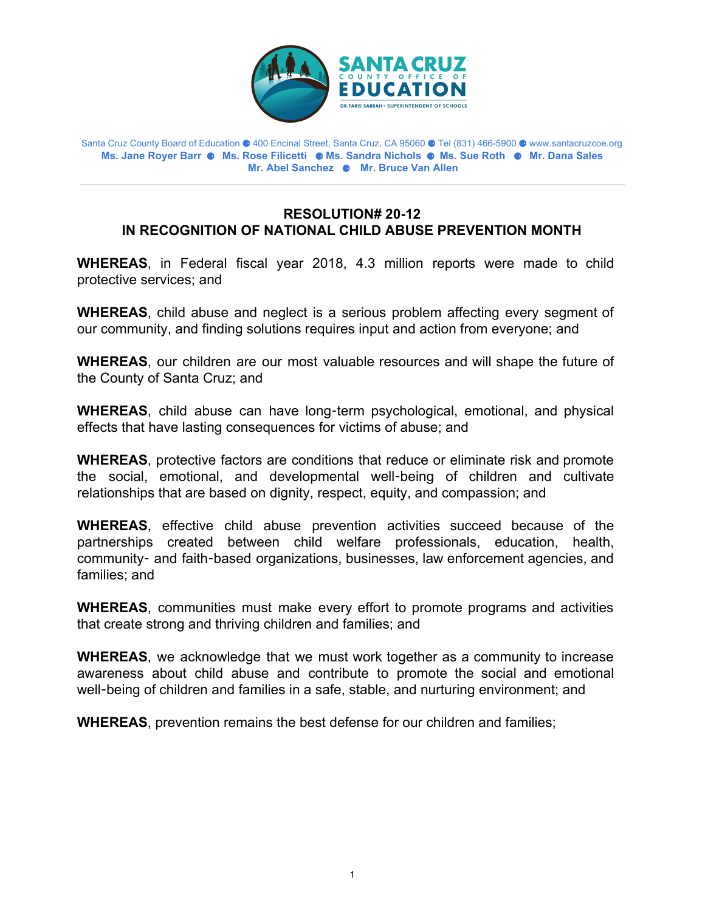

Santa Cruz County Board of Education ⚈ 400 Encinal Street, Santa Cruz, CA 95060 ⚈ Tel (831) 466-5900 ⚈ www.santacruzcoe.org **Ms. Jane Royer Barr** ⚈ **Ms. Rose Filicetti** ⚈ **Ms. Sandra Nichols** ⚈ **Ms. Sue Roth** ⚈ **Mr. Dana Sales Mr. Abel Sanchez** ⚈ **Mr. Bruce Van Allen**

## **RESOLUTION# 20-12 IN RECOGNITION OF NATIONAL CHILD ABUSE PREVENTION MONTH**

**WHEREAS**, in Federal fiscal year 2018, 4.3 million reports were made to child protective services; and

**WHEREAS**, child abuse and neglect is a serious problem affecting every segment of our community, and finding solutions requires input and action from everyone; and

**WHEREAS**, our children are our most valuable resources and will shape the future of the County of Santa Cruz; and

**WHEREAS**, child abuse can have long-term psychological, emotional, and physical effects that have lasting consequences for victims of abuse; and

**WHEREAS**, protective factors are conditions that reduce or eliminate risk and promote the social, emotional, and developmental well-being of children and cultivate relationships that are based on dignity, respect, equity, and compassion; and

**WHEREAS**, effective child abuse prevention activities succeed because of the partnerships created between child welfare professionals, education, health, community- and faith-based organizations, businesses, law enforcement agencies, and families; and

**WHEREAS**, communities must make every effort to promote programs and activities that create strong and thriving children and families; and

**WHEREAS**, we acknowledge that we must work together as a community to increase awareness about child abuse and contribute to promote the social and emotional well-being of children and families in a safe, stable, and nurturing environment; and

**WHEREAS**, prevention remains the best defense for our children and families;